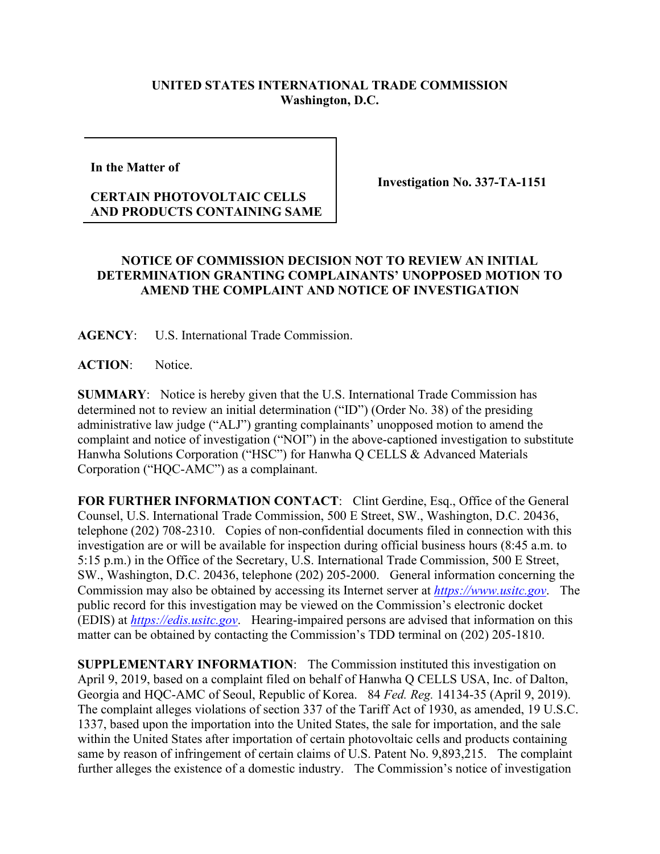## **UNITED STATES INTERNATIONAL TRADE COMMISSION Washington, D.C.**

**In the Matter of** 

## **CERTAIN PHOTOVOLTAIC CELLS AND PRODUCTS CONTAINING SAME**

**Investigation No. 337-TA-1151**

## **NOTICE OF COMMISSION DECISION NOT TO REVIEW AN INITIAL DETERMINATION GRANTING COMPLAINANTS' UNOPPOSED MOTION TO AMEND THE COMPLAINT AND NOTICE OF INVESTIGATION**

**AGENCY**: U.S. International Trade Commission.

ACTION: Notice.

**SUMMARY**: Notice is hereby given that the U.S. International Trade Commission has determined not to review an initial determination ("ID") (Order No. 38) of the presiding administrative law judge ("ALJ") granting complainants' unopposed motion to amend the complaint and notice of investigation ("NOI") in the above-captioned investigation to substitute Hanwha Solutions Corporation ("HSC") for Hanwha Q CELLS & Advanced Materials Corporation ("HQC-AMC") as a complainant.

**FOR FURTHER INFORMATION CONTACT**: Clint Gerdine, Esq., Office of the General Counsel, U.S. International Trade Commission, 500 E Street, SW., Washington, D.C. 20436, telephone (202) 708-2310. Copies of non-confidential documents filed in connection with this investigation are or will be available for inspection during official business hours (8:45 a.m. to 5:15 p.m.) in the Office of the Secretary, U.S. International Trade Commission, 500 E Street, SW., Washington, D.C. 20436, telephone (202) 205-2000. General information concerning the Commission may also be obtained by accessing its Internet server at *[https://www.usitc.gov](https://www.usitc.gov/)*. The public record for this investigation may be viewed on the Commission's electronic docket (EDIS) at *[https://edis.usitc.gov](https://edis.usitc.gov/)*. Hearing-impaired persons are advised that information on this matter can be obtained by contacting the Commission's TDD terminal on (202) 205-1810.

**SUPPLEMENTARY INFORMATION:** The Commission instituted this investigation on April 9, 2019, based on a complaint filed on behalf of Hanwha Q CELLS USA, Inc. of Dalton, Georgia and HQC-AMC of Seoul, Republic of Korea. 84 *Fed. Reg.* 14134-35 (April 9, 2019). The complaint alleges violations of section 337 of the Tariff Act of 1930, as amended, 19 U.S.C. 1337, based upon the importation into the United States, the sale for importation, and the sale within the United States after importation of certain photovoltaic cells and products containing same by reason of infringement of certain claims of U.S. Patent No. 9,893,215. The complaint further alleges the existence of a domestic industry. The Commission's notice of investigation